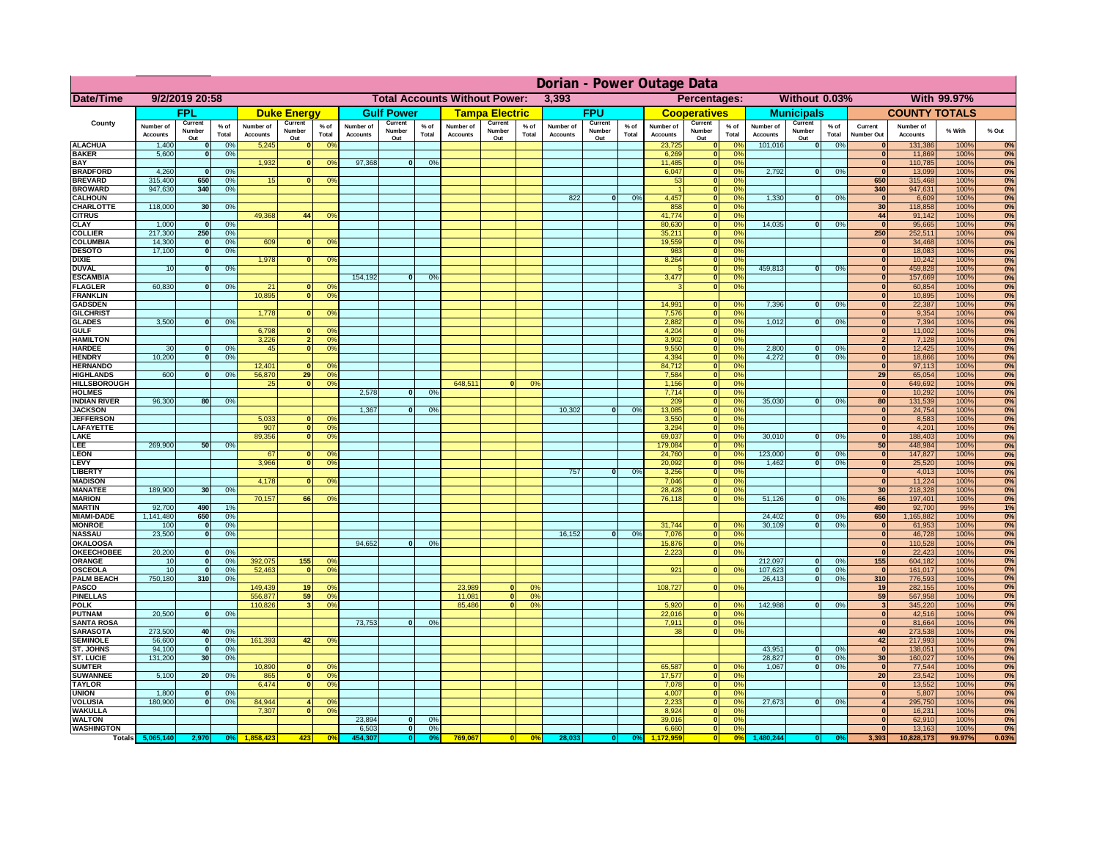|                                      | Dorian - Power Outage Data   |                          |                    |                              |                          |                                               |                       |                          |                |                              |                               |                     |                              |                          |                 |                              |                                 |                                  |                              |                          |                 |                                  |                              |              |          |
|--------------------------------------|------------------------------|--------------------------|--------------------|------------------------------|--------------------------|-----------------------------------------------|-----------------------|--------------------------|----------------|------------------------------|-------------------------------|---------------------|------------------------------|--------------------------|-----------------|------------------------------|---------------------------------|----------------------------------|------------------------------|--------------------------|-----------------|----------------------------------|------------------------------|--------------|----------|
| Date/Time                            | 9/2/2019 20:58               |                          |                    |                              |                          | <b>Total Accounts Without Power:</b><br>3,393 |                       |                          |                |                              | Percentages:<br>Without 0.03% |                     |                              |                          |                 |                              | With 99.97%                     |                                  |                              |                          |                 |                                  |                              |              |          |
|                                      | <b>FPL</b>                   |                          | <b>Duke Energy</b> |                              | <b>Gulf Power</b>        |                                               | <b>Tampa Electric</b> |                          | <b>FPU</b>     |                              |                               | <b>Cooperatives</b> |                              | <b>Municipals</b>        |                 |                              | <b>COUNTY TOTALS</b>            |                                  |                              |                          |                 |                                  |                              |              |          |
| County                               | Number of<br><b>Accounts</b> | Current<br>Number<br>Out | % of<br>Total      | Number of<br><b>Accounts</b> | Current<br>Number<br>Out | $%$ of<br>Total                               | Number of<br>Accounts | Current<br>Number<br>Out | % of<br>Total  | Number of<br><b>Accounts</b> | Current<br>Number<br>Out      | $%$ of<br>Total     | Number of<br><b>Accounts</b> | Current<br>Number<br>Out | $%$ of<br>Total | Number of<br><b>Accounts</b> | Current<br>Number<br><u>Out</u> | $%$ of<br>Total                  | Number of<br><b>Accounts</b> | Current<br>Number<br>Out | $%$ of<br>Total | Current<br>Number Out            | Number of<br><b>Accounts</b> | % With       | % Out    |
| <b>ALACHUA</b>                       | 1,400                        | $\Omega$                 | 0%                 | 5,245                        | n                        | 0 <sup>9</sup>                                |                       |                          |                |                              |                               |                     |                              |                          |                 | 23,725                       | $\Omega$                        | no                               | 101,016                      | 0                        | 0%              | $\Omega$                         | 131,386                      | 100%         | 0%       |
| <b>BAKER</b><br><b>BAY</b>           | 5,600                        | $\mathbf{0}$             | 0%                 | 1,932                        | $\bf{0}$                 | 0 <sup>9</sup>                                | 97,368                | $\mathbf{0}$             | 0%             |                              |                               |                     |                              |                          |                 | 6,269<br>11,485              | $\Omega$<br>$\mathbf{0}$        | 0 <sup>9</sup><br>0%             |                              |                          |                 | $\bf{0}$<br>$\overline{0}$       | 11,869<br>110,785            | 100%<br>100% | 0%<br>0% |
| <b>BRADFORD</b>                      | 4,260                        | $\mathbf{0}$             | 0%                 |                              |                          |                                               |                       |                          |                |                              |                               |                     |                              |                          |                 | 6,047                        | $\mathbf{0}$                    | 0%                               | 2,792                        | 0                        | 0%              | $\Omega$                         | 13,099                       | 100%         | 0%       |
| <b>BREVARD</b>                       | 315,400                      | 650                      | 0%                 | 15                           | $\Omega$                 | 0 <sup>9</sup>                                |                       |                          |                |                              |                               |                     |                              |                          |                 | 53                           | ō                               | 0%                               |                              |                          |                 | 650                              | 315,468                      | 100%         | 0%       |
| <b>BROWARD</b>                       | 947,630                      | 340                      | 0%                 |                              |                          |                                               |                       |                          |                |                              |                               |                     |                              |                          |                 |                              | $\overline{\phantom{a}}$        | 0%                               |                              |                          |                 | 340                              | 947,631                      | 100%         | 0%       |
| <b>CALHOUN</b><br><b>CHARLOTTE</b>   | 118,000                      | 30                       | 0%                 |                              |                          |                                               |                       |                          |                |                              |                               |                     | 822                          | $\overline{0}$           | 0%              | 4,457<br>858                 | ō<br>$\overline{\mathbf{0}}$    | 0%<br>0%                         | 1,330                        | 0                        | 0%              | $\overline{\mathbf{0}}$<br>30    | 6,609<br>118,858             | 100%<br>100% | 0%<br>0% |
| <b>CITRUS</b>                        |                              |                          |                    | 49.368                       | 44                       | 0 <sup>9</sup>                                |                       |                          |                |                              |                               |                     |                              |                          |                 | 41.774                       | $\overline{\mathbf{0}}$         | 0%                               |                              |                          |                 | 44                               | 91,142                       | 100%         | 0%       |
| <b>CLAY</b>                          | 1,000                        | $\Omega$                 | 0%                 |                              |                          |                                               |                       |                          |                |                              |                               |                     |                              |                          |                 | 80,630                       | $\overline{\mathbf{0}}$         | 0%                               | 14.035                       | $\overline{0}$           | 0%              | $\Omega$                         | 95,665                       | 100%         | 0%       |
| <b>COLLIER</b>                       | 217,300                      | 250                      | 0%                 |                              |                          |                                               |                       |                          |                |                              |                               |                     |                              |                          |                 | 35,211                       | $\overline{\phantom{a}}$        | 0 <sup>9</sup>                   |                              |                          |                 | 250                              | 252,511                      | 100%         | 0%       |
| <b>COLUMBIA</b>                      | 14,300                       | 0 <br>$\overline{0}$     | 0%                 | 609                          |                          | 0 <sup>9</sup><br>$\overline{0}$              |                       |                          |                |                              |                               |                     |                              |                          |                 | 19,559<br>983                | $\overline{\phantom{a}}$<br> 0  | 0 <sup>9</sup><br>0%             |                              |                          |                 | $\mathbf{0}$<br>$\overline{0}$   | 34,468                       | 100%         | 0%       |
| <b>DESOTO</b><br><b>DIXIE</b>        | 17,100                       |                          | 0%                 | 1,978                        | 0                        | 0 <sup>9</sup>                                |                       |                          |                |                              |                               |                     |                              |                          |                 | 8,264                        | 0                               | 0%                               |                              |                          |                 | $\overline{0}$                   | 18,083<br>10,242             | 100%<br>100% | 0%<br>0% |
| <b>DUVAL</b>                         | 10                           | $\mathbf{0}$             | 0%                 |                              |                          |                                               |                       |                          |                |                              |                               |                     |                              |                          |                 |                              | 0                               | 0 <sup>9</sup>                   | 459,813                      | $\mathbf{0}$             | 0%              | $\overline{0}$                   | 459,828                      | 100%         | 0%       |
| <b>ESCAMBIA</b>                      |                              |                          |                    |                              |                          |                                               | 154,192               | $\overline{0}$           | 0 <sup>o</sup> |                              |                               |                     |                              |                          |                 | 3,477                        | $\overline{\phantom{a}}$        | 0 <sup>9</sup>                   |                              |                          |                 | $\overline{0}$                   | 157,669                      | 100%         | 0%       |
| <b>FLAGLER</b>                       | 60,830                       | $\mathbf{0}$             | 0%                 | 21                           | $\overline{0}$           | 0 <sup>9</sup>                                |                       |                          |                |                              |                               |                     |                              |                          |                 | $\mathbf{B}$                 | $\overline{\phantom{a}}$        | 0%                               |                              |                          |                 | $\overline{0}$                   | 60,854                       | 100%         | 0%       |
| <b>FRANKLIN</b><br><b>GADSDEN</b>    |                              |                          |                    | 10.895                       | 0                        | 0 <sup>9</sup>                                |                       |                          |                |                              |                               |                     |                              |                          |                 | 14.991                       | $\bf{0}$                        | 0 <sup>9</sup>                   | 7,396                        | $\overline{0}$           | 0%              | $\overline{0}$<br>$\overline{0}$ | 10,895<br>22,387             | 100%<br>100% | 0%<br>0% |
| <b>GILCHRIST</b>                     |                              |                          |                    | 1.778                        | $\overline{0}$           | 0 <sup>9</sup>                                |                       |                          |                |                              |                               |                     |                              |                          |                 | 7,576                        | $\overline{0}$                  | 0%                               |                              |                          |                 | 0                                | 9,354                        | 100%         | 0%       |
| <b>GLADES</b>                        | 3.500                        | $\Omega$                 | 0%                 |                              |                          |                                               |                       |                          |                |                              |                               |                     |                              |                          |                 | 2.882                        | $\mathbf{0}$                    | 0%                               | 1,012                        | $\mathbf{a}$             | 0%              | 0                                | 7,394                        | 100%         | 0%       |
| <b>GULF</b>                          |                              |                          |                    | 6.798                        | $\Omega$                 | 0 <sup>9</sup>                                |                       |                          |                |                              |                               |                     |                              |                          |                 | 4.204                        | $\mathbf{0}$                    | 0%                               |                              |                          |                 | 0                                | 11.002                       | 100%         | 0%       |
| <b>HAMILTON</b><br><b>HARDEE</b>     | 30                           | $\Omega$                 | 0%                 | 3.226<br>45                  | 2 <sup>1</sup><br> 0     | 0 <sup>9</sup><br>0 <sup>9</sup>              |                       |                          |                |                              |                               |                     |                              |                          |                 | 3.902<br>9,550               | $\mathbf{0}$<br>$\mathbf{0}$    | 0%<br>0%                         | 2,800                        | $\bf{0}$                 | 0%              | 2 <sup>1</sup><br>$\mathbf{0}$   | 7.128<br>12,425              | 100%<br>100% | 0%       |
| <b>HENDRY</b>                        | 10,200                       | $\Omega$                 | 0%                 |                              |                          |                                               |                       |                          |                |                              |                               |                     |                              |                          |                 | 4,394                        | $\Omega$                        | 0%                               | 4,272                        | $\Omega$                 | 0%              | $\mathbf{0}$                     | 18,866                       | 100%         | 0%<br>0% |
| <b>HERNANDO</b>                      |                              |                          |                    | 12,401                       | $\bf{0}$                 | 0 <sup>9</sup>                                |                       |                          |                |                              |                               |                     |                              |                          |                 | 84,712                       | $\mathbf{0}$                    | 0%                               |                              |                          |                 | $\mathbf{0}$                     | 97,113                       | 100%         | 0%       |
| <b>HIGHLANDS</b>                     | 600                          | $\Omega$                 | 0%                 | 56,870                       | 29                       | 0 <sup>9</sup>                                |                       |                          |                |                              |                               |                     |                              |                          |                 | 7,584                        | $\mathbf{0}$                    | 0%                               |                              |                          |                 | 29                               | 65,054                       | 100%         | 0%       |
| <b>HILLSBOROUGH</b>                  |                              |                          |                    | 25                           | 0                        | 0 <sup>9</sup>                                |                       |                          |                | 648,511                      | $\Omega$                      | 0%                  |                              |                          |                 | 1,156                        | $\mathbf{0}$                    | 0%                               |                              |                          |                 | $\mathbf{0}$                     | 649,692                      | 100%         | 0%       |
| <b>HOLMES</b><br><b>INDIAN RIVER</b> | 96,300                       | 80                       | 0%                 |                              |                          |                                               | 2,578                 | $\Omega$                 | 0%             |                              |                               |                     |                              |                          |                 | 7,714<br>209                 | $\mathbf{0}$<br>$\mathbf{0}$    | 0 <sup>9</sup><br>0 <sup>9</sup> | 35,030                       | $\mathbf{0}$             | 0%              | 0 <br>80                         | 10,292<br>131,539            | 100%<br>100% | 0%<br>0% |
| <b>JACKSON</b>                       |                              |                          |                    |                              |                          |                                               | 1,367                 | $\Omega$                 | 0 <sup>9</sup> |                              |                               |                     | 10,302                       | 0                        | 0%              | 13,085                       | $\mathbf{0}$                    | 0%                               |                              |                          |                 | $\mathbf{0}$                     | 24,754                       | 100%         | 0%       |
| <b>JEFFERSON</b>                     |                              |                          |                    | 5,033                        | $\Omega$                 | $^{\circ}$                                    |                       |                          |                |                              |                               |                     |                              |                          |                 | 3,550                        | $\mathbf{0}$                    | 0%                               |                              |                          |                 | 0                                | 8,583                        | 100%         | 0%       |
| LAFAYETTE                            |                              |                          |                    | 907                          | $\Omega$                 | 0 <sup>9</sup>                                |                       |                          |                |                              |                               |                     |                              |                          |                 | 3,294                        | $\Omega$                        | 0%                               |                              |                          |                 | 0                                | 4,201                        | 100%         | 0%       |
| LAKE<br>LEE.                         | 269,900                      | 50 <sup>1</sup>          | 0%                 | 89,356                       | $\Omega$                 | 0 <sup>9</sup>                                |                       |                          |                |                              |                               |                     |                              |                          |                 | 69,037<br>179,084            | ol<br>ol                        | 0%<br>0%                         | 30,010                       | $\mathbf{0}$             | 0%              | 0 <br>50                         | 188,403<br>448,984           | 100%<br>100% | 0%<br>0% |
| <b>LEON</b>                          |                              |                          |                    | 67                           | n                        | $\Omega$                                      |                       |                          |                |                              |                               |                     |                              |                          |                 | 24,760                       | $\Omega$                        | $\Omega$ <sup>o</sup>            | 123,000                      | $\Omega$                 | 0%              | 0                                | 147,827                      | 100%         | 0%       |
| <b>LEVY</b>                          |                              |                          |                    | 3,966                        | $\Omega$                 | 0 <sup>9</sup>                                |                       |                          |                |                              |                               |                     |                              |                          |                 | 20,092                       | $\Omega$                        | 0%                               | 1,462                        | $\Omega$                 | 0%              | 0                                | 25,520                       | 100%         | 0%       |
| LIBERTY                              |                              |                          |                    |                              |                          |                                               |                       |                          |                |                              |                               |                     | 757                          | 0                        | 0%              | 3,256                        | 0                               | 0%                               |                              |                          |                 | 0                                | 4,013                        | 100%         | 0%       |
| <b>MADISON</b>                       |                              |                          |                    | 4,178                        | $\Omega$                 | 0 <sup>9</sup>                                |                       |                          |                |                              |                               |                     |                              |                          |                 | 7,046                        | 0                               | 0%<br>0%                         |                              |                          |                 | 0                                | 11,224                       | 100%<br>100% | 0%       |
| <b>MANATEE</b><br><b>MARION</b>      | 189,900                      | 30                       | 0%                 | 70,157                       | 66                       | 0°                                            |                       |                          |                |                              |                               |                     |                              |                          |                 | 28,428<br>76,118             | 0 <br> 0                        | 0%                               | 51,126                       | 0                        | 0%              | 30<br>66                         | 218,328<br>197,401           | 100%         | 0%<br>0% |
| <b>MARTIN</b>                        | 92,700                       | 490                      | 1%                 |                              |                          |                                               |                       |                          |                |                              |                               |                     |                              |                          |                 |                              |                                 |                                  |                              |                          |                 | 490                              | 92,700                       | 99%          | 1%       |
| <b>MIAMI-DADE</b>                    | 1,141,480                    | 650                      | 0%                 |                              |                          |                                               |                       |                          |                |                              |                               |                     |                              |                          |                 |                              |                                 |                                  | 24,402                       | $\overline{\mathbf{0}}$  | 0%              | 650                              | 1,165,882                    | 100%         | 0%       |
| <b>MONROE</b>                        | 100                          | 0                        | 0%                 |                              |                          |                                               |                       |                          |                |                              |                               |                     |                              |                          |                 | 31,744                       | $\mathbf{0}$                    | nº                               | 30,109                       | $\overline{\mathbf{0}}$  | 0%              | 0                                | 61,953                       | 100%         | 0%       |
| <b>NASSAU</b><br><b>OKALOOSA</b>     | 23,500                       | 0                        | 0%                 |                              |                          |                                               | 94,652                | $\overline{0}$           | 0%             |                              |                               |                     | 16,152                       | 0                        | 0%              | 7,076<br>15,876              | $\mathbf{0}$<br> 0              | 0%<br>0%                         |                              |                          |                 | 0 <br>$\mathbf{0}$               | 46,728<br>110,528            | 100%<br>100% | 0%<br>0% |
| <b>OKEECHOBEE</b>                    | 20,200                       | $\Omega$                 | 0%                 |                              |                          |                                               |                       |                          |                |                              |                               |                     |                              |                          |                 | 2,223                        | 0                               | 0 <sup>9</sup>                   |                              |                          |                 | $\mathbf{0}$                     | 22,423                       | 100%         | 0%       |
| ORANGE                               | 10                           | 0                        | 0%                 | 392,075                      | 155                      | 0 <sup>9</sup>                                |                       |                          |                |                              |                               |                     |                              |                          |                 |                              |                                 |                                  | 212,097                      | 0                        | 0%              | 155                              | 604,182                      | 100%         | 0%       |
| <b>OSCEOLA</b>                       | 10                           | 0                        | 0 <sup>9</sup>     | 52,463                       |                          | 0 <sup>9</sup>                                |                       |                          |                |                              |                               |                     |                              |                          |                 | 921                          | 0                               | 0 <sup>9</sup>                   | 107,623                      | 0                        | 0%              | $\mathbf{0}$                     | 161,017                      | 100%         | 0%       |
| <b>PALM BEACH</b><br><b>PASCO</b>    | 750,180                      | 310                      | 0%                 | 149,439                      | 19 <sup>1</sup>          | 0 <sup>9</sup>                                |                       |                          |                | 23,989                       | $\Omega$                      | 0 <sup>9</sup>      |                              |                          |                 | 108,727                      | 0                               | 0 <sup>9</sup>                   | 26,413                       | $\mathbf{0}$             | 0%              | 310<br>19                        | 776,593<br>282,155           | 100%<br>100% | 0%<br>0% |
| <b>PINELLAS</b>                      |                              |                          |                    | 556,877                      | 59                       | 0 <sup>9</sup>                                |                       |                          |                | 11,081                       | 0                             | 0%                  |                              |                          |                 |                              |                                 |                                  |                              |                          |                 | 59                               | 567,958                      | 100%         | 0%       |
| <b>POLK</b>                          |                              |                          |                    | 110,826                      | $\overline{\mathbf{3}}$  | 0 <sup>9</sup>                                |                       |                          |                | 85,486                       | 0                             | 0%                  |                              |                          |                 | 5,920                        | $\mathbf{0}$                    | 0 <sup>9</sup>                   | 142,988                      | 0                        | 0%              | $\mathbf{3}$                     | 345,220                      | 100%         | 0%       |
| <b>PUTNAM</b>                        | 20,500                       | 0                        | 0%                 |                              |                          |                                               |                       |                          |                |                              |                               |                     |                              |                          |                 | 22,016                       | $\mathbf{0}$                    | 0%                               |                              |                          |                 | 0                                | 42,516                       | 100%         | 0%       |
| <b>SANTA ROSA</b><br><b>SARASOTA</b> | 273,500                      | 40                       | 0%                 |                              |                          |                                               | 73.753                | $\mathbf{0}$             | 0%             |                              |                               |                     |                              |                          |                 | 7.911<br>38                  | $\mathbf{0}$<br>$\overline{0}$  | 0%<br>0%                         |                              |                          |                 | $\mathbf{0}$<br>40               | 81,664<br>273,538            | 100%<br>100% | 0%<br>0% |
| <b>SEMINOLE</b>                      | 56,600                       | $\mathbf{0}$             | 0%                 | 161,393                      | 42                       | 0%                                            |                       |                          |                |                              |                               |                     |                              |                          |                 |                              |                                 |                                  |                              |                          |                 | 42                               | 217,993                      | 100%         | 0%       |
| <b>ST. JOHNS</b>                     | 94.100                       | $\mathbf{0}$             | 0%                 |                              |                          |                                               |                       |                          |                |                              |                               |                     |                              |                          |                 |                              |                                 |                                  | 43.951                       | $\overline{0}$           | 0%              | $\mathbf{0}$                     | 138.051                      | 100%         | 0%       |
| <b>ST. LUCIE</b>                     | 131,200                      | 30                       | 0%                 |                              |                          |                                               |                       |                          |                |                              |                               |                     |                              |                          |                 |                              |                                 |                                  | 28,827                       | 0                        | 0%              | 30 <sup>1</sup>                  | 160,027                      | 100%         | 0%       |
| <b>SUMTER</b>                        |                              |                          |                    | 10,890                       | $\mathbf{0}$             | 0 <sup>9</sup>                                |                       |                          |                |                              |                               |                     |                              |                          |                 | 65,587                       | $\Omega$                        | $\Omega$ <sup>c</sup>            | 1,067                        | 0                        | 0%              | $\mathbf{0}$                     | 77,544                       | 100%         | 0%       |
| <b>SUWANNEE</b><br><b>TAYLOR</b>     | 5,100                        | 20                       | 0%                 | 865<br>6,474                 | 0 <br>$\mathbf{0}$       | 0 <sup>9</sup><br>0 <sup>9</sup>              |                       |                          |                |                              |                               |                     |                              |                          |                 | 17,577<br>7,078              | $\mathbf{0}$<br>$\mathbf{0}$    | 0 <sup>9</sup><br>0%             |                              |                          |                 | 20<br>$\mathbf{0}$               | 23,542<br>13,552             | 100%<br>100% | 0%<br>0% |
| <b>UNION</b>                         | 1,800                        | $\mathbf{0}$             | 0%                 |                              |                          |                                               |                       |                          |                |                              |                               |                     |                              |                          |                 | 4,007                        | $\mathbf{0}$                    | 0 <sup>9</sup>                   |                              |                          |                 | $\mathbf{0}$                     | 5,807                        | 100%         | 0%       |
| <b>VOLUSIA</b>                       | 180,900                      | $\mathbf{0}$             | 0%                 | 84,944                       |                          | 0 <sup>9</sup>                                |                       |                          |                |                              |                               |                     |                              |                          |                 | 2,233                        | $\mathbf{0}$                    | 0 <sup>9</sup>                   | 27,673                       | 0                        | 0%              | $\overline{\mathbf{4}}$          | 295,750                      | 100%         | 0%       |
| <b>WAKULLA</b>                       |                              |                          |                    | 7,307                        |                          | O <sub>5</sub>                                | 23,894                |                          |                |                              |                               |                     |                              |                          |                 | 8,924                        | $\mathbf{0}$<br>$\mathbf{0}$    | 0 <sup>9</sup><br>0 <sup>9</sup> |                              |                          |                 | $\bf{0}$<br>$\bf{0}$             | 16,231                       | 100%         | 0%<br>0% |
| <b>WALTON</b><br><b>WASHINGTON</b>   |                              |                          |                    |                              |                          |                                               | 6,503                 | $\mathbf{0}$<br> 0       | 0%<br>0%       |                              |                               |                     |                              |                          |                 | 39,016<br>6,660              | 0                               | 0%                               |                              |                          |                 | $\bf{0}$                         | 62,910<br>13,163             | 100%<br>100% | 0%       |
|                                      | Totals 5,065,140             | 2,970                    | o                  |                              | 423                      |                                               | 154.30                | $\mathbf{0}$             |                | 769,067                      |                               | 0%                  | 28,03                        |                          |                 |                              | $\overline{\phantom{0}}$        | 0%                               |                              |                          |                 | 3,393                            | 10,828,173                   | 99.97%       | 0.03%    |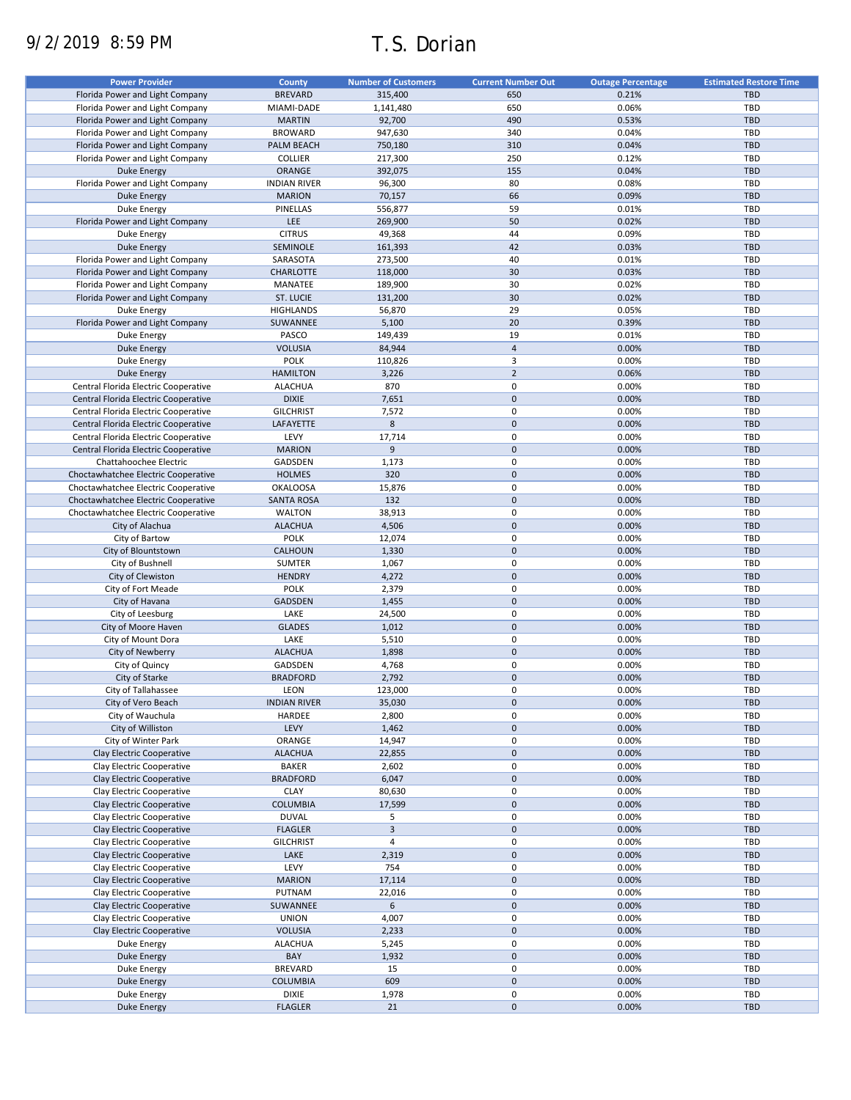# 9/2/2019 8:59 PM T.S. Dorian

| <b>Power Provider</b>                | <b>County</b>       | <b>Number of Customers</b> | <b>Current Number Out</b> | <b>Outage Percentage</b> | <b>Estimated Restore Time</b> |
|--------------------------------------|---------------------|----------------------------|---------------------------|--------------------------|-------------------------------|
| Florida Power and Light Company      | <b>BREVARD</b>      | 315,400                    | 650                       | 0.21%                    | <b>TBD</b>                    |
| Florida Power and Light Company      | MIAMI-DADE          | 1,141,480                  | 650                       | 0.06%                    | TBD                           |
| Florida Power and Light Company      | <b>MARTIN</b>       | 92,700                     | 490                       | 0.53%                    | <b>TBD</b>                    |
| Florida Power and Light Company      | <b>BROWARD</b>      | 947,630                    | 340                       | 0.04%                    | <b>TBD</b>                    |
| Florida Power and Light Company      | PALM BEACH          | 750,180                    | 310                       | 0.04%                    | <b>TBD</b>                    |
| Florida Power and Light Company      | <b>COLLIER</b>      | 217,300                    | 250                       | 0.12%                    | <b>TBD</b>                    |
| <b>Duke Energy</b>                   | ORANGE              | 392,075                    | 155                       | 0.04%                    | <b>TBD</b>                    |
| Florida Power and Light Company      | <b>INDIAN RIVER</b> | 96,300                     | 80                        | 0.08%                    | TBD                           |
|                                      |                     |                            | 66                        | 0.09%                    |                               |
| <b>Duke Energy</b>                   | <b>MARION</b>       | 70,157                     |                           |                          | <b>TBD</b>                    |
| Duke Energy                          | PINELLAS            | 556,877                    | 59                        | 0.01%                    | TBD                           |
| Florida Power and Light Company      | LEE                 | 269,900                    | 50                        | 0.02%                    | <b>TBD</b>                    |
| Duke Energy                          | <b>CITRUS</b>       | 49,368                     | 44                        | 0.09%                    | TBD                           |
| Duke Energy                          | SEMINOLE            | 161,393                    | 42                        | 0.03%                    | <b>TBD</b>                    |
| Florida Power and Light Company      | SARASOTA            | 273,500                    | 40                        | 0.01%                    | TBD                           |
| Florida Power and Light Company      | <b>CHARLOTTE</b>    | 118,000                    | 30                        | 0.03%                    | <b>TBD</b>                    |
| Florida Power and Light Company      | MANATEE             | 189,900                    | 30                        | 0.02%                    | TBD                           |
| Florida Power and Light Company      | ST. LUCIE           | 131,200                    | 30                        | 0.02%                    | <b>TBD</b>                    |
| Duke Energy                          | <b>HIGHLANDS</b>    | 56,870                     | 29                        | 0.05%                    | TBD                           |
| Florida Power and Light Company      | SUWANNEE            | 5,100                      | 20                        | 0.39%                    | <b>TBD</b>                    |
| Duke Energy                          | PASCO               | 149,439                    | 19                        | 0.01%                    | <b>TBD</b>                    |
| <b>Duke Energy</b>                   | <b>VOLUSIA</b>      | 84,944                     | $\overline{4}$            | 0.00%                    | <b>TBD</b>                    |
| Duke Energy                          | <b>POLK</b>         | 110,826                    | 3                         | 0.00%                    | TBD                           |
| <b>Duke Energy</b>                   | <b>HAMILTON</b>     | 3,226                      | $\overline{2}$            | 0.06%                    | <b>TBD</b>                    |
| Central Florida Electric Cooperative | <b>ALACHUA</b>      | 870                        | 0                         | 0.00%                    | TBD                           |
| Central Florida Electric Cooperative | <b>DIXIE</b>        | 7,651                      | $\pmb{0}$                 | 0.00%                    | <b>TBD</b>                    |
| Central Florida Electric Cooperative | <b>GILCHRIST</b>    | 7,572                      | 0                         | 0.00%                    | TBD                           |
| Central Florida Electric Cooperative | LAFAYETTE           | 8                          | $\pmb{0}$                 | 0.00%                    | TBD                           |
| Central Florida Electric Cooperative | LEVY                | 17,714                     | 0                         | 0.00%                    | <b>TBD</b>                    |
| Central Florida Electric Cooperative | <b>MARION</b>       | 9                          | $\pmb{0}$                 | 0.00%                    | <b>TBD</b>                    |
| Chattahoochee Electric               | <b>GADSDEN</b>      | 1,173                      | 0                         | 0.00%                    | TBD                           |
| Choctawhatchee Electric Cooperative  | <b>HOLMES</b>       | 320                        | $\pmb{0}$                 | 0.00%                    | <b>TBD</b>                    |
| Choctawhatchee Electric Cooperative  | <b>OKALOOSA</b>     | 15,876                     | 0                         | 0.00%                    | TBD                           |
| Choctawhatchee Electric Cooperative  | <b>SANTA ROSA</b>   | 132                        | $\pmb{0}$                 | 0.00%                    | <b>TBD</b>                    |
| Choctawhatchee Electric Cooperative  | <b>WALTON</b>       | 38,913                     | 0                         | 0.00%                    | TBD                           |
| City of Alachua                      | <b>ALACHUA</b>      | 4,506                      | $\pmb{0}$                 | 0.00%                    | <b>TBD</b>                    |
|                                      |                     |                            | 0                         |                          | <b>TBD</b>                    |
| City of Bartow                       | <b>POLK</b>         | 12,074                     |                           | 0.00%                    |                               |
| City of Blountstown                  | CALHOUN             | 1,330                      | $\pmb{0}$                 | 0.00%                    | <b>TBD</b>                    |
| City of Bushnell                     | SUMTER              | 1,067                      | 0                         | 0.00%                    | TBD                           |
| City of Clewiston                    | <b>HENDRY</b>       | 4,272                      | $\pmb{0}$                 | 0.00%                    | <b>TBD</b>                    |
| City of Fort Meade                   | <b>POLK</b>         | 2,379                      | 0                         | 0.00%                    | TBD                           |
| City of Havana                       | GADSDEN             | 1,455                      | $\pmb{0}$                 | 0.00%                    | <b>TBD</b>                    |
| City of Leesburg                     | LAKE                | 24,500                     | 0                         | 0.00%                    | TBD                           |
| City of Moore Haven                  | <b>GLADES</b>       | 1,012                      | $\mathbf 0$               | 0.00%                    | <b>TBD</b>                    |
| City of Mount Dora                   | LAKE                | 5,510                      | 0                         | 0.00%                    | <b>TBD</b>                    |
| City of Newberry                     | <b>ALACHUA</b>      | 1,898                      | $\pmb{0}$                 | 0.00%                    | <b>TBD</b>                    |
| City of Quincy                       | GADSDEN             | 4,768                      | 0                         | 0.00%                    | TBD                           |
| City of Starke                       | <b>BRADFORD</b>     | 2,792                      | $\pmb{0}$                 | 0.00%                    | <b>TBD</b>                    |
| City of Tallahassee                  | LEON                | 123,000                    | 0                         | 0.00%                    | TBD                           |
| City of Vero Beach                   | <b>INDIAN RIVER</b> | 35,030                     | $\pmb{0}$                 | 0.00%                    | <b>TBD</b>                    |
| City of Wauchula                     | HARDEE              | 2,800                      | 0                         | 0.00%                    | TBD                           |
| City of Williston                    | LEVY                | 1,462                      | $\pmb{0}$                 | 0.00%                    | <b>TBD</b>                    |
| City of Winter Park                  | ORANGE              | 14,947                     | 0                         | 0.00%                    | TBD                           |
| Clay Electric Cooperative            | <b>ALACHUA</b>      | 22,855                     | $\pmb{0}$                 | 0.00%                    | <b>TBD</b>                    |
| Clay Electric Cooperative            | <b>BAKER</b>        | 2,602                      | 0                         | 0.00%                    | TBD                           |
| Clay Electric Cooperative            | <b>BRADFORD</b>     | 6,047                      | $\pmb{0}$                 | 0.00%                    | <b>TBD</b>                    |
| Clay Electric Cooperative            | <b>CLAY</b>         | 80,630                     | 0                         | 0.00%                    | TBD                           |
| Clay Electric Cooperative            | <b>COLUMBIA</b>     | 17,599                     | $\pmb{0}$                 | 0.00%                    | <b>TBD</b>                    |
| Clay Electric Cooperative            | <b>DUVAL</b>        | 5                          | 0                         | 0.00%                    | TBD                           |
| Clay Electric Cooperative            | <b>FLAGLER</b>      | $\mathbf{3}$               | $\mathbf 0$               | 0.00%                    | TBD                           |
| Clay Electric Cooperative            | <b>GILCHRIST</b>    | $\overline{4}$             | 0                         | 0.00%                    | TBD                           |
| Clay Electric Cooperative            | LAKE                | 2,319                      | $\pmb{0}$                 | 0.00%                    | TBD                           |
| Clay Electric Cooperative            | LEVY                | 754                        | 0                         | 0.00%                    | TBD                           |
| Clay Electric Cooperative            | <b>MARION</b>       | 17,114                     | $\pmb{0}$                 | 0.00%                    | TBD                           |
|                                      |                     |                            |                           |                          |                               |
| Clay Electric Cooperative            | PUTNAM              | 22,016                     | 0                         | 0.00%                    | TBD                           |
| Clay Electric Cooperative            | SUWANNEE            | 6                          | $\pmb{0}$                 | 0.00%                    | TBD                           |
| Clay Electric Cooperative            | <b>UNION</b>        | 4,007                      | 0                         | 0.00%                    | TBD                           |
| Clay Electric Cooperative            | <b>VOLUSIA</b>      | 2,233                      | $\pmb{0}$                 | 0.00%                    | <b>TBD</b>                    |
| Duke Energy                          | <b>ALACHUA</b>      | 5,245                      | 0                         | 0.00%                    | TBD                           |
| Duke Energy                          | BAY                 | 1,932                      | $\pmb{0}$                 | 0.00%                    | <b>TBD</b>                    |
| Duke Energy                          | <b>BREVARD</b>      | 15                         | 0                         | 0.00%                    | TBD                           |
| <b>Duke Energy</b>                   | <b>COLUMBIA</b>     | 609                        | $\mathbf 0$               | 0.00%                    | TBD                           |
| Duke Energy                          | <b>DIXIE</b>        | 1,978                      | 0                         | 0.00%                    | <b>TBD</b>                    |
| <b>Duke Energy</b>                   | <b>FLAGLER</b>      | 21                         | $\pmb{0}$                 | 0.00%                    | TBD                           |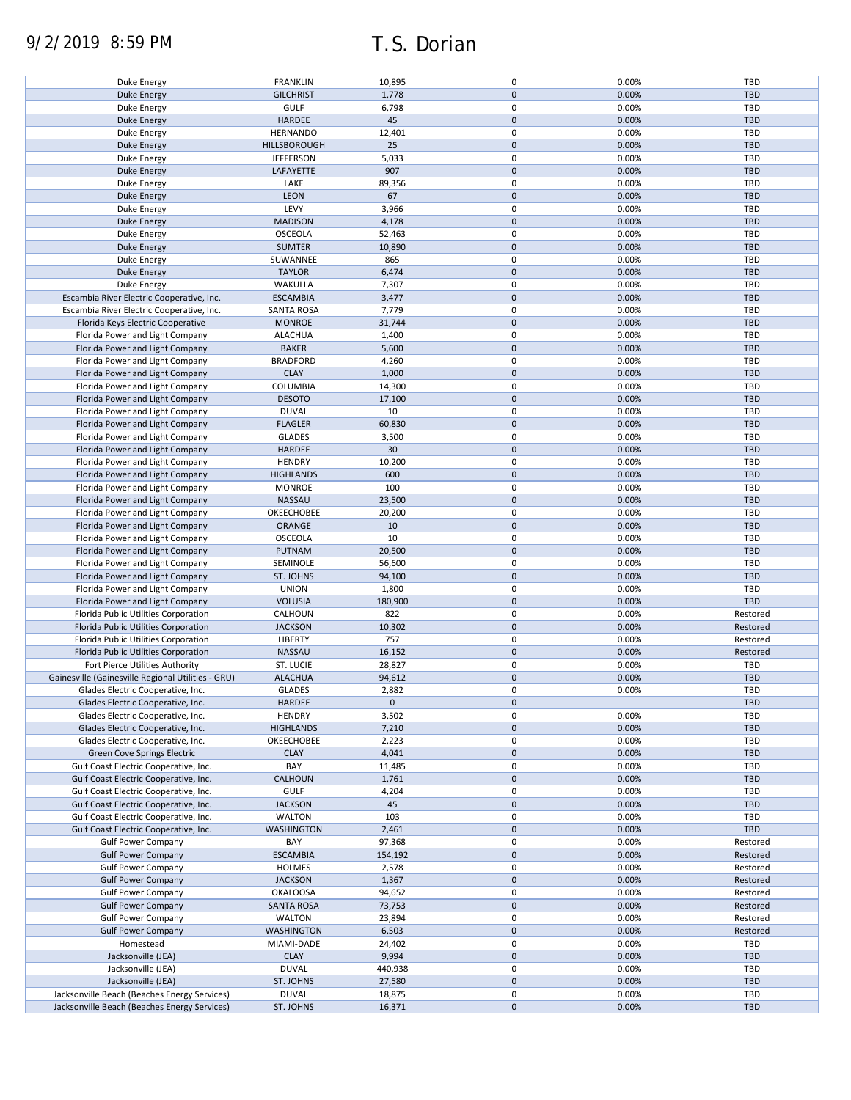# 9/2/2019 8:59 PM T.S. Dorian

| Duke Energy                                        | <b>FRANKLIN</b>   | 10,895          | $\mathbf 0$ | 0.00% | TBD        |
|----------------------------------------------------|-------------------|-----------------|-------------|-------|------------|
|                                                    | <b>GILCHRIST</b>  | 1,778           | $\mathbf 0$ | 0.00% | <b>TBD</b> |
| <b>Duke Energy</b>                                 |                   |                 |             |       |            |
| Duke Energy                                        | GULF              | 6,798           | $\mathbf 0$ | 0.00% | <b>TBD</b> |
| <b>Duke Energy</b>                                 | HARDEE            | 45              | $\mathbf 0$ | 0.00% | <b>TBD</b> |
|                                                    |                   |                 |             |       |            |
| Duke Energy                                        | <b>HERNANDO</b>   | 12,401          | $\mathbf 0$ | 0.00% | <b>TBD</b> |
| <b>Duke Energy</b>                                 | HILLSBOROUGH      | 25              | $\mathbf 0$ | 0.00% | <b>TBD</b> |
|                                                    |                   |                 |             |       |            |
| Duke Energy                                        | <b>JEFFERSON</b>  | 5,033           | $\mathbf 0$ | 0.00% | TBD        |
| <b>Duke Energy</b>                                 | LAFAYETTE         | 907             | $\mathbf 0$ | 0.00% | <b>TBD</b> |
|                                                    |                   |                 |             |       |            |
| Duke Energy                                        | LAKE              | 89,356          | $\mathbf 0$ | 0.00% | TBD        |
| <b>Duke Energy</b>                                 | LEON              | 67              | $\mathbf 0$ | 0.00% | <b>TBD</b> |
|                                                    | LEVY              | 3,966           | $\mathbf 0$ | 0.00% | <b>TBD</b> |
| Duke Energy                                        |                   |                 |             |       |            |
| <b>Duke Energy</b>                                 | <b>MADISON</b>    | 4,178           | $\mathbf 0$ | 0.00% | <b>TBD</b> |
| Duke Energy                                        | OSCEOLA           | 52,463          | 0           | 0.00% | TBD        |
|                                                    |                   |                 |             |       |            |
| <b>Duke Energy</b>                                 | <b>SUMTER</b>     | 10,890          | $\mathbf 0$ | 0.00% | <b>TBD</b> |
| Duke Energy                                        | SUWANNEE          | 865             | 0           | 0.00% | TBD        |
|                                                    |                   |                 |             |       |            |
| <b>Duke Energy</b>                                 | <b>TAYLOR</b>     | 6,474           | $\mathbf 0$ | 0.00% | TBD        |
| Duke Energy                                        | WAKULLA           | 7,307           | 0           | 0.00% | TBD        |
|                                                    |                   |                 |             |       |            |
| Escambia River Electric Cooperative, Inc.          | <b>ESCAMBIA</b>   | 3,477           | $\pmb{0}$   | 0.00% | <b>TBD</b> |
| Escambia River Electric Cooperative, Inc.          | SANTA ROSA        | 7,779           | 0           | 0.00% | TBD        |
|                                                    |                   |                 | $\pmb{0}$   |       | <b>TBD</b> |
| Florida Keys Electric Cooperative                  | <b>MONROE</b>     | 31,744          |             | 0.00% |            |
| Florida Power and Light Company                    | <b>ALACHUA</b>    | 1,400           | $\pmb{0}$   | 0.00% | TBD        |
|                                                    |                   |                 | $\mathbf 0$ |       |            |
| Florida Power and Light Company                    | <b>BAKER</b>      | 5,600           |             | 0.00% | <b>TBD</b> |
| Florida Power and Light Company                    | <b>BRADFORD</b>   | 4,260           | 0           | 0.00% | TBD        |
| Florida Power and Light Company                    | <b>CLAY</b>       | 1,000           | $\mathbf 0$ | 0.00% | <b>TBD</b> |
|                                                    |                   |                 |             |       |            |
| Florida Power and Light Company                    | COLUMBIA          | 14,300          | $\mathbf 0$ | 0.00% | <b>TBD</b> |
| Florida Power and Light Company                    | <b>DESOTO</b>     | 17,100          | $\mathbf 0$ | 0.00% | <b>TBD</b> |
|                                                    |                   |                 |             |       |            |
| Florida Power and Light Company                    | <b>DUVAL</b>      | 10              | $\pmb{0}$   | 0.00% | TBD        |
| Florida Power and Light Company                    | <b>FLAGLER</b>    | 60,830          | $\pmb{0}$   | 0.00% | <b>TBD</b> |
|                                                    |                   |                 |             |       |            |
| Florida Power and Light Company                    | <b>GLADES</b>     | 3,500           | $\pmb{0}$   | 0.00% | TBD        |
| Florida Power and Light Company                    | <b>HARDEE</b>     | 30 <sup>°</sup> | $\mathbf 0$ | 0.00% | <b>TBD</b> |
|                                                    |                   |                 |             |       |            |
| Florida Power and Light Company                    | <b>HENDRY</b>     | 10,200          | $\pmb{0}$   | 0.00% | TBD        |
| Florida Power and Light Company                    | <b>HIGHLANDS</b>  | 600             | $\mathbf 0$ | 0.00% | <b>TBD</b> |
|                                                    |                   |                 |             |       |            |
| Florida Power and Light Company                    | <b>MONROE</b>     | 100             | $\mathbf 0$ | 0.00% | TBD        |
| Florida Power and Light Company                    | NASSAU            | 23,500          | $\mathbf 0$ | 0.00% | <b>TBD</b> |
|                                                    |                   |                 | $\pmb{0}$   |       |            |
| Florida Power and Light Company                    | OKEECHOBEE        | 20,200          |             | 0.00% | TBD        |
| Florida Power and Light Company                    | ORANGE            | 10              | $\mathbf 0$ | 0.00% | <b>TBD</b> |
| Florida Power and Light Company                    | <b>OSCEOLA</b>    | 10              | $\mathbf 0$ | 0.00% | <b>TBD</b> |
|                                                    |                   |                 |             |       |            |
| Florida Power and Light Company                    | PUTNAM            | 20,500          | $\mathbf 0$ | 0.00% | <b>TBD</b> |
| Florida Power and Light Company                    | SEMINOLE          | 56,600          | 0           | 0.00% | <b>TBD</b> |
|                                                    |                   |                 |             |       |            |
| Florida Power and Light Company                    | ST. JOHNS         | 94,100          | $\mathbf 0$ | 0.00% | <b>TBD</b> |
| Florida Power and Light Company                    | <b>UNION</b>      | 1,800           | 0           | 0.00% | TBD        |
|                                                    |                   |                 |             |       |            |
| Florida Power and Light Company                    | <b>VOLUSIA</b>    | 180,900         | $\mathbf 0$ | 0.00% | <b>TBD</b> |
| Florida Public Utilities Corporation               | CALHOUN           | 822             | 0           | 0.00% | Restored   |
|                                                    |                   |                 |             |       |            |
| Florida Public Utilities Corporation               | <b>JACKSON</b>    | 10,302          | $\mathbf 0$ | 0.00% | Restored   |
| Florida Public Utilities Corporation               | <b>LIBERTY</b>    | 757             | $\mathbf 0$ | 0.00% | Restored   |
|                                                    |                   |                 |             |       |            |
| Florida Public Utilities Corporation               | NASSAU            | 16,152          | $\mathbf 0$ | 0.00% | Restored   |
| Fort Pierce Utilities Authority                    | ST. LUCIE         | 28,827          | 0           | 0.00% | TBD        |
|                                                    |                   |                 | $\mathbf 0$ |       | <b>TBD</b> |
| Gainesville (Gainesville Regional Utilities - GRU) | <b>ALACHUA</b>    | 94,612          |             | 0.00% |            |
| Glades Electric Cooperative, Inc.                  | <b>GLADES</b>     | 2,882           | 0           | 0.00% | TBD        |
|                                                    |                   | $\mathbf 0$     | $\mathbf 0$ |       | TBD        |
| Glades Electric Cooperative, Inc.                  | HARDEE            |                 |             |       |            |
| Glades Electric Cooperative, Inc.                  | <b>HENDRY</b>     | 3,502           | 0           | 0.00% | TBD        |
| Glades Electric Cooperative, Inc.                  | <b>HIGHLANDS</b>  | 7,210           | $\pmb{0}$   | 0.00% | <b>TBD</b> |
|                                                    |                   |                 |             |       |            |
| Glades Electric Cooperative, Inc.                  | OKEECHOBEE        | 2,223           | 0           | 0.00% | TBD        |
| Green Cove Springs Electric                        | <b>CLAY</b>       | 4,041           | $\pmb{0}$   | 0.00% | <b>TBD</b> |
|                                                    |                   |                 |             |       |            |
| Gulf Coast Electric Cooperative, Inc.              | BAY               | 11,485          | 0           | 0.00% | TBD        |
| Gulf Coast Electric Cooperative, Inc.              | CALHOUN           | 1,761           | $\pmb{0}$   | 0.00% | <b>TBD</b> |
|                                                    |                   |                 |             |       |            |
| Gulf Coast Electric Cooperative, Inc.              | <b>GULF</b>       | 4,204           | $\pmb{0}$   | 0.00% | TBD        |
| Gulf Coast Electric Cooperative, Inc.              | <b>JACKSON</b>    | 45              | $\pmb{0}$   | 0.00% | <b>TBD</b> |
| Gulf Coast Electric Cooperative, Inc.              | <b>WALTON</b>     | 103             | $\pmb{0}$   | 0.00% | TBD        |
|                                                    |                   |                 |             |       |            |
| Gulf Coast Electric Cooperative, Inc.              | <b>WASHINGTON</b> | 2,461           | $\pmb{0}$   | 0.00% | TBD        |
| <b>Gulf Power Company</b>                          | BAY               | 97,368          | 0           | 0.00% | Restored   |
|                                                    |                   |                 |             |       |            |
| <b>Gulf Power Company</b>                          | <b>ESCAMBIA</b>   | 154,192         | $\mathbf 0$ | 0.00% | Restored   |
| <b>Gulf Power Company</b>                          | <b>HOLMES</b>     | 2,578           | 0           | 0.00% | Restored   |
|                                                    |                   |                 |             |       |            |
| <b>Gulf Power Company</b>                          | <b>JACKSON</b>    | 1,367           | $\pmb{0}$   | 0.00% | Restored   |
| <b>Gulf Power Company</b>                          | <b>OKALOOSA</b>   | 94,652          | 0           | 0.00% | Restored   |
|                                                    |                   |                 |             |       |            |
| <b>Gulf Power Company</b>                          | <b>SANTA ROSA</b> | 73,753          | $\pmb{0}$   | 0.00% | Restored   |
| <b>Gulf Power Company</b>                          | <b>WALTON</b>     | 23,894          | 0           | 0.00% | Restored   |
|                                                    |                   |                 |             |       |            |
| <b>Gulf Power Company</b>                          | <b>WASHINGTON</b> | 6,503           | $\pmb{0}$   | 0.00% | Restored   |
| Homestead                                          | MIAMI-DADE        | 24,402          | 0           | 0.00% | TBD        |
|                                                    |                   |                 |             |       |            |
| Jacksonville (JEA)                                 | <b>CLAY</b>       | 9,994           | $\pmb{0}$   | 0.00% | <b>TBD</b> |
| Jacksonville (JEA)                                 | <b>DUVAL</b>      | 440,938         | 0           | 0.00% | TBD        |
| Jacksonville (JEA)                                 | ST. JOHNS         | 27,580          | 0           | 0.00% | <b>TBD</b> |
|                                                    |                   |                 |             |       |            |
| Jacksonville Beach (Beaches Energy Services)       | <b>DUVAL</b>      | 18,875          | 0           | 0.00% | TBD        |
| Jacksonville Beach (Beaches Energy Services)       | ST. JOHNS         | 16,371          | $\pmb{0}$   | 0.00% | TBD        |
|                                                    |                   |                 |             |       |            |